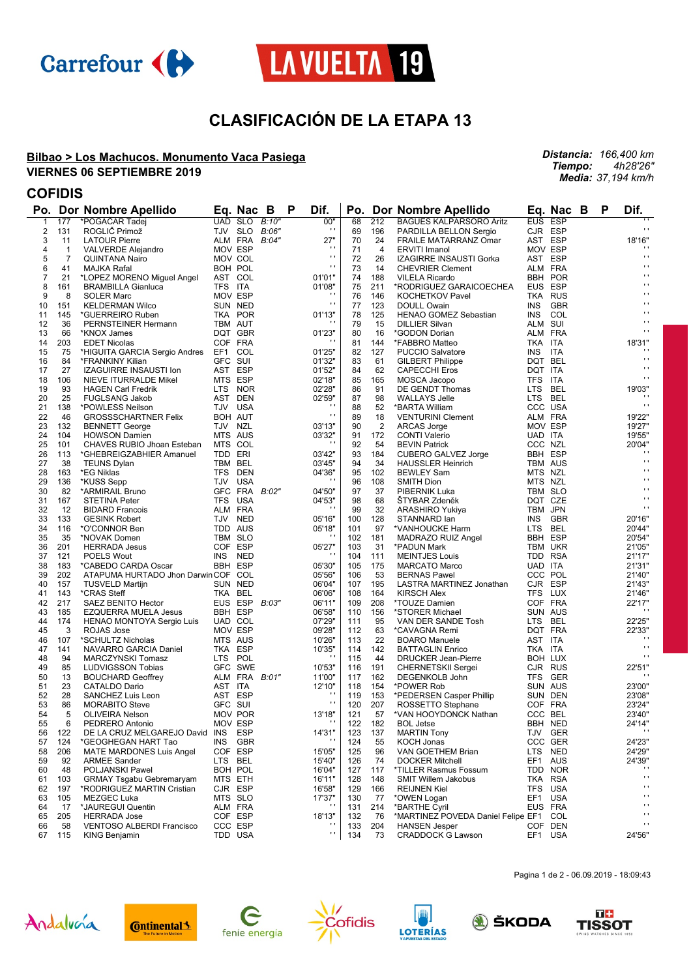



## **CLASIFICACIÓN DE LA ETAPA 13**

#### **Bilbao > Los Machucos. Monumento Vaca Pasiega VIERNES 06 SEPTIEMBRE 2019**

# **COFIDIS**<br>**Bo Dor Nombro Apollido**

| Po.            |                | Dor Nombre Apellido                      |                    | Ea. Nac B     |       | P | Dif.                     | Po.        |                | Dor Nombre Apellido                                            |                | Eq. Nac B      | Р | Dif.                       |
|----------------|----------------|------------------------------------------|--------------------|---------------|-------|---|--------------------------|------------|----------------|----------------------------------------------------------------|----------------|----------------|---|----------------------------|
| 1              | 177            | *POGAČAR Tadej                           |                    | UAD SLO       | B:10" |   | 00"                      | 68         | 212            | <b>BAGUES KALPARSORO Aritz</b>                                 | <b>EUS</b>     | <b>ESP</b>     |   | $\cdots$                   |
| 2              | 131            | ROGLIČ Primož                            |                    | TJV SLO       | B:06" |   | $\cdot$                  | 69         | 196            | PARDILLA BELLON Sergio                                         |                | CJR ESP        |   | $\mathbf{r}$               |
| 3              | 11             | <b>LATOUR Pierre</b>                     |                    | ALM FRA       | B:04" |   | 27"                      | 70         | 24             | <b>FRAILE MATARRANZ Omar</b>                                   |                | AST ESP        |   | 18'16"                     |
| 4              | $\mathbf{1}$   | <b>VALVERDE Alejandro</b>                | MOV ESP            |               |       |   | $\cdot$                  | 71         | 4              | <b>ERVITI Imanol</b>                                           | MOV ESP        |                |   |                            |
| 5              | $\overline{7}$ | <b>QUINTANA Nairo</b>                    |                    | MOV COL       |       |   | $\mathbf{r}$             | 72         | 26             | IZAGIRRE INSAUSTI Gorka                                        | AST ESP        |                |   | $\mathbf{r}$               |
| 6              | 41             | <b>MAJKA Rafal</b>                       |                    | BOH POL       |       |   | $\mathbf{r}$             | 73         | 14             | <b>CHEVRIER Clement</b>                                        | ALM FRA        |                |   | $\blacksquare$             |
| $\overline{7}$ | 21             | *LOPEZ MORENO Miguel Angel               |                    | AST COL       |       |   | 01'01"                   | 74         | 188            | <b>VILELA Ricardo</b>                                          |                | BBH POR        |   | $\blacksquare$             |
| 8              | 161            | <b>BRAMBILLA Gianluca</b>                | TFS ITA            |               |       |   | 01'08"                   | 75         | 211            | *RODRIGUEZ GARAICOECHEA                                        | EUS ESP        |                |   | $\blacksquare$             |
| 9              | 8              | <b>SOLER Marc</b>                        | MOV ESP            |               |       |   | $\cdot$                  | 76         | 146            | <b>KOCHETKOV Pavel</b>                                         |                | TKA RUS        |   | $\cdots$                   |
| 10             | 151            | <b>KELDERMAN Wilco</b>                   |                    | SUN NED       |       |   | $\mathbf{r}$             | 77         | 123            | <b>DOULL Owain</b>                                             | <b>INS</b>     | <b>GBR</b>     |   | $\blacksquare$             |
| 11             | 145            | *GUERREIRO Ruben                         |                    | TKA POR       |       |   | 01'13"                   | 78         | 125            | HENAO GOMEZ Sebastian                                          | <b>INS</b>     | COL            |   | $\blacksquare$             |
| 12             | 36             | PERNSTEINER Hermann                      |                    | TBM AUT       |       |   | $\cdots$                 | 79         | 15             | <b>DILLIER Silvan</b>                                          | ALM SUI        |                |   | $\blacksquare$             |
| 13             | 66             | *KNOX James                              |                    | DQT GBR       |       |   | 01'23"                   | 80         | 16             | *GODON Dorian                                                  | ALM FRA        |                |   | $\mathbf{r}$               |
| 14             | 203            | <b>EDET Nicolas</b>                      | COF FRA            |               |       |   | $\cdot$                  | 81         | 144            | *FABBRO Matteo                                                 | TKA ITA        |                |   | 18'31"                     |
| 15             | 75             | *HIGUITA GARCIA Sergio Andres            | EF1 COL            |               |       |   | 01'25"                   | 82         | 127            | <b>PUCCIO Salvatore</b>                                        | <b>INS</b>     | ITA            |   |                            |
| 16             | 84             | *FRANKINY Kilian                         | GFC SUI            |               |       |   | 01'32"                   | 83         | 61             | <b>GILBERT Philippe</b>                                        | DQT BEL        |                |   | $\mathbf{r}$               |
| 17             | 27             | IZAGUIRRE INSAUSTI Ion                   | AST ESP            |               |       |   | 01'52"                   | 84         | 62             | <b>CAPECCHI Eros</b>                                           | DQT ITA        |                |   | $\cdot$                    |
| 18             | 106            | NIEVE ITURRALDE Mikel                    | MTS ESP            |               |       |   | 02'18"                   | 85         | 165            | MOSCA Jacopo                                                   | TFS ITA        |                |   | $\cdot$                    |
| 19             | 93             | <b>HAGEN Carl Fredrik</b>                | LTS NOR            |               |       |   | 02'28"                   | 86         | 91             | DE GENDT Thomas                                                | LTS            | BEL            |   | 19'03"                     |
| 20             | 25             | <b>FUGLSANG Jakob</b>                    |                    | AST DEN       |       |   | 02'59"                   | 87         | 98             | <b>WALLAYS Jelle</b>                                           | LTS BEL        |                |   |                            |
| 21             | 138            | *POWLESS Neilson                         |                    | TJV USA       |       |   | $\cdots$                 | 88         | 52             | *BARTA William                                                 |                | CCC USA        |   | $\cdots$                   |
| 22             | 46             | <b>GROSSSCHARTNER Felix</b>              | <b>BOH AUT</b>     |               |       |   | $\mathbf{r}$             | 89         | 18             | <b>VENTURINI Clement</b>                                       | ALM FRA        |                |   | 19'22"                     |
| 23             | 132            | <b>BENNETT George</b>                    | TJV NZL            |               |       |   | 03'13"                   | 90         | $\overline{2}$ | ARCAS Jorge                                                    | MOV ESP        |                |   | 19'27'                     |
| 24             | 104            | <b>HOWSON Damien</b>                     |                    | MTS AUS       |       |   | 03'32"                   | 91         | 172            | <b>CONTI Valerio</b>                                           | UAD ITA        |                |   | 19'55"                     |
| 25             | 101            | CHAVES RUBIO Jhoan Esteban               | MTS COL            |               |       |   |                          | 92         | 54             | <b>BEVIN Patrick</b>                                           | CCC NZL        |                |   | 20'04"                     |
| 26             | 113            | *GHEBREIGZABHIER Amanuel                 | TDD ERI            |               |       |   | 03'42"                   | 93         | 184            | CUBERO GALVEZ Jorge                                            |                | <b>BBH ESP</b> |   | $\cdot$                    |
| 27             | 38             | <b>TEUNS Dylan</b>                       | TBM BEL            |               |       |   | 03'45"                   | 94         | 34             | <b>HAUSSLER Heinrich</b>                                       | <b>TBM AUS</b> |                |   | $\mathbf{r}$               |
| 28             | 163            | *EG Niklas                               |                    | TFS DEN       |       |   | 04'36"                   | 95         | 102            | <b>BEWLEY Sam</b>                                              | MTS NZL        |                |   | $\cdot$<br>$\cdot$ $\cdot$ |
| 29             | 136            | *KUSS Sepp                               |                    | TJV USA       |       |   | $\blacksquare$           | 96         | 108            | <b>SMITH Dion</b>                                              | MTS NZL        |                |   | $\cdots$                   |
| 30             | 82             | *ARMIRAIL Bruno                          |                    | GFC FRA       | B:02" |   | 04'50"                   | 97         | 37             | PIBERNIK Luka                                                  |                | TBM SLO        |   | $\blacksquare$             |
| 31             | 167            | <b>STETINA Peter</b>                     |                    | TFS USA       |       |   | 04'53"<br>$\blacksquare$ | 98         | 68             | ŠTYBAR Zdeněk                                                  | DQT CZE        |                |   | $\cdot$ $\cdot$            |
| 32             | 12             | <b>BIDARD Francois</b>                   | ALM FRA            |               |       |   |                          | 99         | 32             | ARASHIRO Yukiya                                                | TBM JPN        |                |   |                            |
| 33             | 133            | <b>GESINK Robert</b>                     | TDD AUS            | TJV NED       |       |   | 05'16"                   | 100        | 128            | STANNARD lan                                                   | <b>INS</b>     | GBR            |   | 20'16"                     |
| 34             | 116            | *O'CONNOR Ben                            |                    |               |       |   | 05'18"<br>$\cdot$        | 101        | 97             | *VANHOUCKE Harm                                                | LTS BEL        |                |   | 20'44"                     |
| 35<br>36       | 35<br>201      | *NOVAK Domen<br><b>HERRADA Jesus</b>     | TBM SLO<br>COF ESP |               |       |   | 05'27"                   | 102<br>103 | 181<br>31      | MADRAZO RUIZ Angel<br>*PADUN Mark                              | <b>BBH ESP</b> | TBM UKR        |   | 20'54'<br>21'05'           |
| 37             | 121            | <b>POELS Wout</b>                        | INS.               | NED           |       |   | $\cdot$                  | 104        | 111            | <b>MEINTJES Louis</b>                                          | TDD RSA        |                |   | 21'17"                     |
| 38             | 183            | *CABEDO CARDA Oscar                      | <b>BBH ESP</b>     |               |       |   | 05'30"                   | 105        | 175            | <b>MARCATO Marco</b>                                           | UAD ITA        |                |   | 21'31'                     |
| 39             | 202            | ATAPUMA HURTADO Jhon Darwin COF COL      |                    |               |       |   | 05'56"                   | 106        | 53             | <b>BERNAS Pawel</b>                                            | CCC POL        |                |   | 21'40'                     |
| 40             | 157            | <b>TUSVELD Martijn</b>                   |                    | SUN NED       |       |   | 06'04"                   | 107        | 195            | LASTRA MARTINEZ Jonathan                                       |                | CJR ESP        |   | 21'43"                     |
| 41             | 143            | *CRAS Steff                              | TKA BEL            |               |       |   | 06'06"                   | 108        | 164            | <b>KIRSCH Alex</b>                                             | TFS LUX        |                |   | 21'46'                     |
| 42             | 217            | SAEZ BENITO Hector                       |                    | EUS ESP       | B:03" |   | 06'11"                   | 109        | 208            | *TOUZE Damien                                                  |                | COF FRA        |   | 22'17"                     |
| 43             | 185            | EZQUERRA MUELA Jesus                     | <b>BBH ESP</b>     |               |       |   | 06'58"                   | 110        | 156            | *STORER Michael                                                |                | SUN AUS        |   |                            |
| 44             | 174            | HENAO MONTOYA Sergio Luis                |                    | UAD COL       |       |   | 07'29"                   | 111        | 95             | VAN DER SANDE Tosh                                             | LTS BEL        |                |   | 22'25"                     |
| 45             | 3              | ROJAS Jose                               | MOV ESP            |               |       |   | 09'28"                   | 112        | 63             | *CAVAGNA Remi                                                  | DQT FRA        |                |   | 22'33"                     |
| 46             | 107            | *SCHULTZ Nicholas                        |                    | MTS AUS       |       |   | 10'26"                   | 113        | 22             | <b>BOARO</b> Manuele                                           | AST ITA        |                |   |                            |
| 47             | 141            | NAVARRO GARCIA Daniel                    | TKA ESP            |               |       |   | 10'35"                   | 114        | 142            | <b>BATTAGLIN Enrico</b>                                        | TKA ITA        |                |   | $\mathbf{r}$ .             |
| 48             | 94             | <b>MARCZYNSKI Tomasz</b>                 | LTS POL            |               |       |   | $\cdot$                  | 115        | 44             | <b>DRUCKER Jean-Pierre</b>                                     | BOH LUX        |                |   | $\cdot$                    |
| 49             | 85             | <b>LUDVIGSSON Tobias</b>                 |                    | GFC SWE       |       |   | 10'53"                   | 116        | 191            | <b>CHERNETSKII Sergei</b>                                      |                | CJR RUS        |   | 22'51"                     |
| 50             | 13             | <b>BOUCHARD Geoffrey</b>                 |                    | ALM FRA B:01" |       |   | 11'00"                   | 117        | 162            | DEGENKOLB John                                                 |                | TFS GER        |   |                            |
| 51             | 23             | CATALDO Dario                            | AST ITA            |               |       |   | 12'10"                   | 118        | 154            | *POWER Rob                                                     |                | SUN AUS        |   | 23'00"                     |
| 52             | 28             | SANCHEZ Luis Leon                        | AST ESP            |               |       |   | $\cdot$                  | 119        | 153            | *PEDERSEN Casper Phillip                                       |                | SUN DEN        |   | 23'08"                     |
| 53             | 86             | <b>MORABITO Steve</b>                    | GFC SUI            |               |       |   | $\mathbf{r}$             | 120        | 207            | ROSSETTO Stephane                                              |                | COF FRA        |   | 23'24'                     |
| 54             | 5              | <b>OLIVEIRA Nelson</b>                   |                    | MOV POR       |       |   | 13'18"                   | 121        | 57             | *VAN HOOYDONCK Nathan                                          | CCC BEL        |                |   | 23'40'                     |
| 55             | 6              | PEDRERO Antonio                          | MOV ESP            |               |       |   |                          | 122        | 182            | <b>BOL Jetse</b>                                               |                | BBH NED        |   | 24'14"                     |
| 56             | 122            | DE LA CRUZ MELGAREJO David               | INS                | ESP           |       |   | 14'31"                   | 123        | 137            | <b>MARTIN Tony</b>                                             |                | TJV GER        |   | $\cdots$                   |
| 57             | 124            | *GEOGHEGAN HART Tao                      | <b>INS</b>         | GBR           |       |   |                          | 124        | 55             | <b>KOCH Jonas</b>                                              |                | CCC GER        |   | 24'23"                     |
| 58             | 206            | <b>MATE MARDONES Luis Angel</b>          | COF ESP            |               |       |   | 15'05"                   | 125        | 96             | VAN GOETHEM Brian                                              |                | LTS NED        |   | 24'29"                     |
| 59             | 92             | <b>ARMEE Sander</b>                      | LTS BEL            |               |       |   | 15'40"                   | 126        | 74             | <b>DOCKER Mitchell</b>                                         |                | EF1 AUS        |   | 24'39"                     |
| 60             | 48             | POLJANSKI Pawel                          |                    | BOH POL       |       |   | 16'04"                   | 127        | 117            | *TILLER Rasmus Fossum                                          |                | TDD NOR        |   | $\cdots$<br>$\mathbf{r}$   |
| 61             | 103            | <b>GRMAY Tsgabu Gebremaryam</b>          | MTS ETH            |               |       |   | 16'11"                   | 128        | 148            | <b>SMIT Willem Jakobus</b>                                     |                | TKA RSA        |   | $\blacksquare$             |
| 62             | 197            | *RODRIGUEZ MARTIN Cristian               | CJR ESP            |               |       |   | 16'58"                   | 129        | 166            | <b>REIJNEN Kiel</b>                                            |                | TFS USA        |   | $\mathbf{r}$               |
| 63             | 105            | <b>MEZGEC Luka</b>                       |                    | MTS SLO       |       |   | 17'37"<br>$\cdot$        | 130        | 77             | *OWEN Logan                                                    |                | EF1 USA        |   | $\mathbf{r}$               |
| 64             | 17             | *JAUREGUI Quentin<br><b>HERRADA Jose</b> |                    | ALM FRA       |       |   |                          | 131        | 214            | *BARTHE Cyril                                                  |                | EUS FRA        |   | $\mathbf{r}$               |
| 65<br>66       | 205<br>58      | <b>VENTOSO ALBERDI Francisco</b>         | COF ESP            | CCC ESP       |       |   | 18'13"<br>$\cdot$        | 132<br>133 | 76<br>204      | *MARTINEZ POVEDA Daniel Felipe EF1 COL<br><b>HANSEN Jesper</b> |                | COF DEN        |   | $\blacksquare$             |
| 67             | 115            | KING Benjamin                            |                    | TDD USA       |       |   | $\mathbf{r}$             | 134        | 73             | <b>CRADDOCK G Lawson</b>                                       |                | EF1 USA        |   | 24'56"                     |
|                |                |                                          |                    |               |       |   |                          |            |                |                                                                |                |                |   |                            |















Pagina 1 de 2 - 06.09.2019 - 18:09:43

*Distancia: 166,400 km Tiempo: 4h28'26" Media: 37,194 km/h*